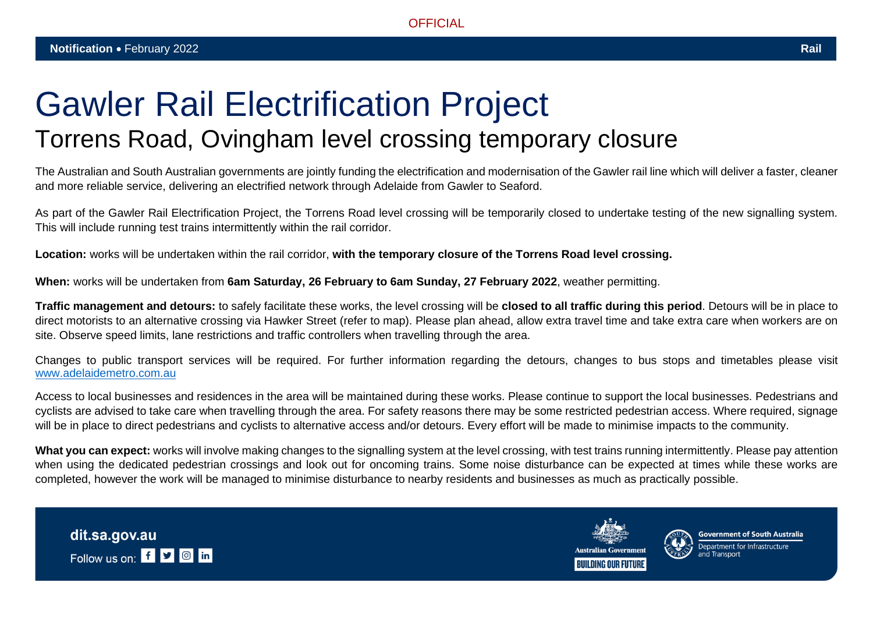## Gawler Rail Electrification Project Torrens Road, Ovingham level crossing temporary closure

The Australian and South Australian governments are jointly funding the electrification and modernisation of the Gawler rail line which will deliver a faster, cleaner and more reliable service, delivering an electrified network through Adelaide from Gawler to Seaford.

As part of the Gawler Rail Electrification Project, the Torrens Road level crossing will be temporarily closed to undertake testing of the new signalling system. This will include running test trains intermittently within the rail corridor.

**Location:** works will be undertaken within the rail corridor, **with the temporary closure of the Torrens Road level crossing.**

**When:** works will be undertaken from **6am Saturday, 26 February to 6am Sunday, 27 February 2022**, weather permitting.

**Traffic management and detours:** to safely facilitate these works, the level crossing will be **closed to all traffic during this period**. Detours will be in place to direct motorists to an alternative crossing via Hawker Street (refer to map). Please plan ahead, allow extra travel time and take extra care when workers are on site. Observe speed limits, lane restrictions and traffic controllers when travelling through the area.

Changes to public transport services will be required. For further information regarding the detours, changes to bus stops and timetables please visit [www.adelaidemetro.com.au](http://www.adelaidemetro.com.au/)

Access to local businesses and residences in the area will be maintained during these works. Please continue to support the local businesses. Pedestrians and cyclists are advised to take care when travelling through the area. For safety reasons there may be some restricted pedestrian access. Where required, signage will be in place to direct pedestrians and cyclists to alternative access and/or detours. Every effort will be made to minimise impacts to the community.

What you can expect: works will involve making changes to the signalling system at the level crossing, with test trains running intermittently. Please pay attention when using the dedicated pedestrian crossings and look out for oncoming trains. Some noise disturbance can be expected at times while these works are completed, however the work will be managed to minimise disturbance to nearby residents and businesses as much as practically possible.